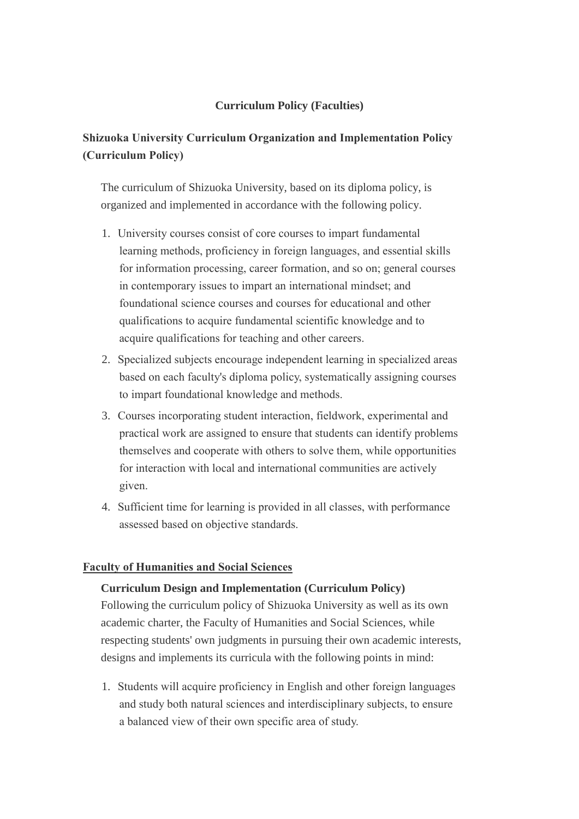# **Curriculum Policy (Faculties)**

# **Shizuoka University Curriculum Organization and Implementation Policy (Curriculum Policy)**

The curriculum of Shizuoka University, based on its diploma policy, is organized and implemented in accordance with the following policy.

- 1. University courses consist of core courses to impart fundamental learning methods, proficiency in foreign languages, and essential skills for information processing, career formation, and so on; general courses in contemporary issues to impart an international mindset; and foundational science courses and courses for educational and other qualifications to acquire fundamental scientific knowledge and to acquire qualifications for teaching and other careers.
- 2. Specialized subjects encourage independent learning in specialized areas based on each faculty's diploma policy, systematically assigning courses to impart foundational knowledge and methods.
- 3. Courses incorporating student interaction, fieldwork, experimental and practical work are assigned to ensure that students can identify problems themselves and cooperate with others to solve them, while opportunities for interaction with local and international communities are actively given.
- 4. Sufficient time for learning is provided in all classes, with performance assessed based on objective standards.

# **Faculty of Humanities and Social Sciences**

### **Curriculum Design and Implementation (Curriculum Policy)**

Following the curriculum policy of Shizuoka University as well as its own academic charter, the Faculty of Humanities and Social Sciences, while respecting students' own judgments in pursuing their own academic interests, designs and implements its curricula with the following points in mind:

1. Students will acquire proficiency in English and other foreign languages and study both natural sciences and interdisciplinary subjects, to ensure a balanced view of their own specific area of study.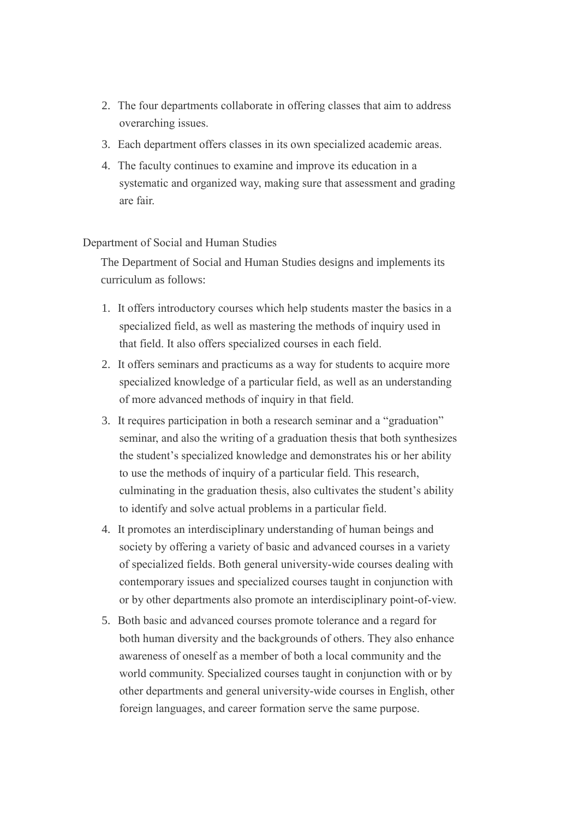- 2. The four departments collaborate in offering classes that aim to address overarching issues.
- 3. Each department offers classes in its own specialized academic areas.
- 4. The faculty continues to examine and improve its education in a systematic and organized way, making sure that assessment and grading are fair.

Department of Social and Human Studies

The Department of Social and Human Studies designs and implements its curriculum as follows:

- 1. It offers introductory courses which help students master the basics in a specialized field, as well as mastering the methods of inquiry used in that field. It also offers specialized courses in each field.
- 2. It offers seminars and practicums as a way for students to acquire more specialized knowledge of a particular field, as well as an understanding of more advanced methods of inquiry in that field.
- 3. It requires participation in both a research seminar and a "graduation" seminar, and also the writing of a graduation thesis that both synthesizes the student's specialized knowledge and demonstrates his or her ability to use the methods of inquiry of a particular field. This research, culminating in the graduation thesis, also cultivates the student's ability to identify and solve actual problems in a particular field.
- 4. It promotes an interdisciplinary understanding of human beings and society by offering a variety of basic and advanced courses in a variety of specialized fields. Both general university-wide courses dealing with contemporary issues and specialized courses taught in conjunction with or by other departments also promote an interdisciplinary point-of-view.
- 5. Both basic and advanced courses promote tolerance and a regard for both human diversity and the backgrounds of others. They also enhance awareness of oneself as a member of both a local community and the world community. Specialized courses taught in conjunction with or by other departments and general university-wide courses in English, other foreign languages, and career formation serve the same purpose.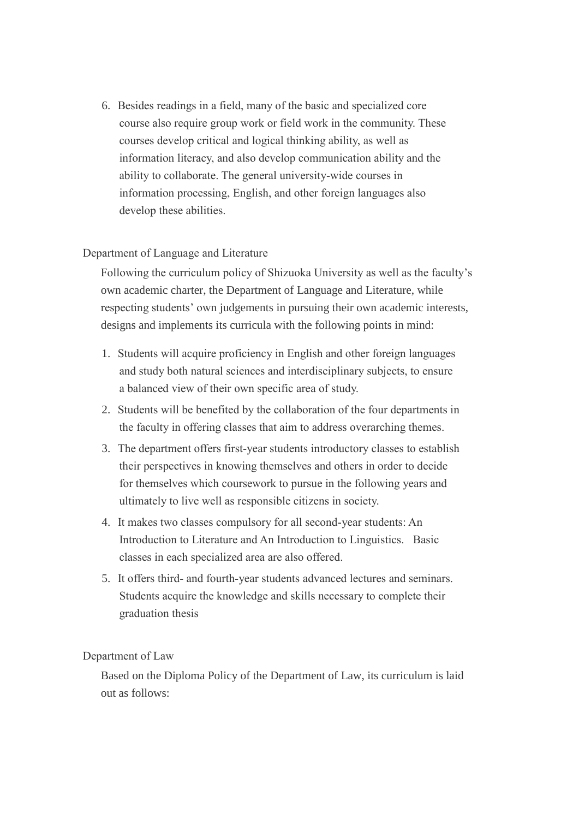6. Besides readings in a field, many of the basic and specialized core course also require group work or field work in the community. These courses develop critical and logical thinking ability, as well as information literacy, and also develop communication ability and the ability to collaborate. The general university-wide courses in information processing, English, and other foreign languages also develop these abilities.

### Department of Language and Literature

Following the curriculum policy of Shizuoka University as well as the faculty's own academic charter, the Department of Language and Literature, while respecting students' own judgements in pursuing their own academic interests, designs and implements its curricula with the following points in mind:

- 1. Students will acquire proficiency in English and other foreign languages and study both natural sciences and interdisciplinary subjects, to ensure a balanced view of their own specific area of study.
- 2. Students will be benefited by the collaboration of the four departments in the faculty in offering classes that aim to address overarching themes.
- 3. The department offers first-year students introductory classes to establish their perspectives in knowing themselves and others in order to decide for themselves which coursework to pursue in the following years and ultimately to live well as responsible citizens in society.
- 4. It makes two classes compulsory for all second-year students: An Introduction to Literature and An Introduction to Linguistics. Basic classes in each specialized area are also offered.
- 5. It offers third- and fourth-year students advanced lectures and seminars. Students acquire the knowledge and skills necessary to complete their graduation thesis

### Department of Law

Based on the Diploma Policy of the Department of Law, its curriculum is laid out as follows: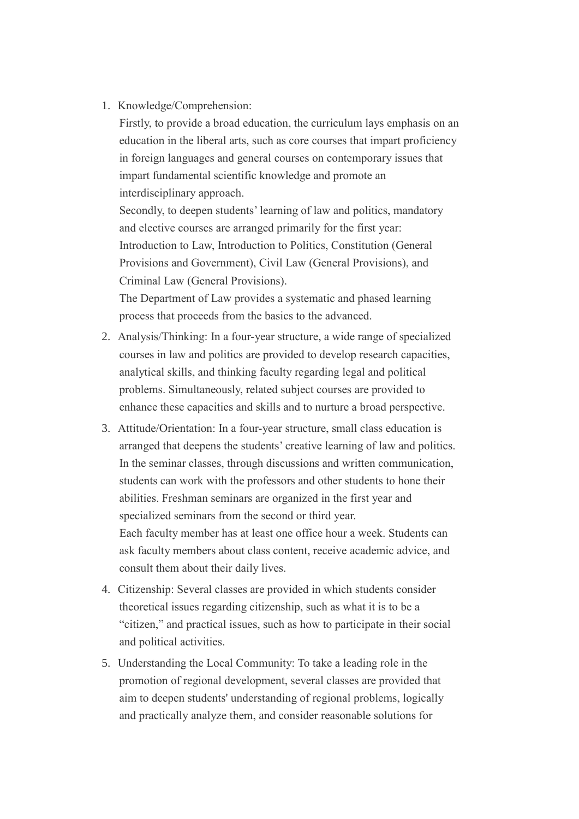1. Knowledge/Comprehension:

Firstly, to provide a broad education, the curriculum lays emphasis on an education in the liberal arts, such as core courses that impart proficiency in foreign languages and general courses on contemporary issues that impart fundamental scientific knowledge and promote an interdisciplinary approach.

Secondly, to deepen students' learning of law and politics, mandatory and elective courses are arranged primarily for the first year: Introduction to Law, Introduction to Politics, Constitution (General Provisions and Government), Civil Law (General Provisions), and Criminal Law (General Provisions).

The Department of Law provides a systematic and phased learning process that proceeds from the basics to the advanced.

- 2. Analysis/Thinking: In a four-year structure, a wide range of specialized courses in law and politics are provided to develop research capacities, analytical skills, and thinking faculty regarding legal and political problems. Simultaneously, related subject courses are provided to enhance these capacities and skills and to nurture a broad perspective.
- 3. Attitude/Orientation: In a four-year structure, small class education is arranged that deepens the students' creative learning of law and politics. In the seminar classes, through discussions and written communication, students can work with the professors and other students to hone their abilities. Freshman seminars are organized in the first year and specialized seminars from the second or third year. Each faculty member has at least one office hour a week. Students can ask faculty members about class content, receive academic advice, and consult them about their daily lives.
- 4. Citizenship: Several classes are provided in which students consider theoretical issues regarding citizenship, such as what it is to be a "citizen," and practical issues, such as how to participate in their social and political activities.
- 5. Understanding the Local Community: To take a leading role in the promotion of regional development, several classes are provided that aim to deepen students' understanding of regional problems, logically and practically analyze them, and consider reasonable solutions for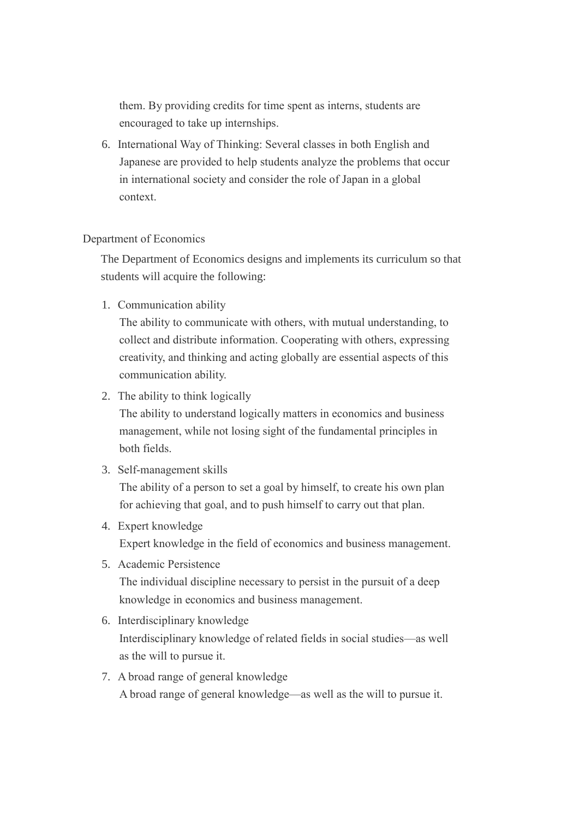them. By providing credits for time spent as interns, students are encouraged to take up internships.

6. International Way of Thinking: Several classes in both English and Japanese are provided to help students analyze the problems that occur in international society and consider the role of Japan in a global context.

### Department of Economics

The Department of Economics designs and implements its curriculum so that students will acquire the following:

1. Communication ability

The ability to communicate with others, with mutual understanding, to collect and distribute information. Cooperating with others, expressing creativity, and thinking and acting globally are essential aspects of this communication ability.

2. The ability to think logically

The ability to understand logically matters in economics and business management, while not losing sight of the fundamental principles in both fields.

3. Self-management skills

The ability of a person to set a goal by himself, to create his own plan for achieving that goal, and to push himself to carry out that plan.

- 4. Expert knowledge Expert knowledge in the field of economics and business management.
- 5. Academic Persistence The individual discipline necessary to persist in the pursuit of a deep knowledge in economics and business management.
- 6. Interdisciplinary knowledge Interdisciplinary knowledge of related fields in social studies—as well as the will to pursue it.
- 7. A broad range of general knowledge A broad range of general knowledge—as well as the will to pursue it.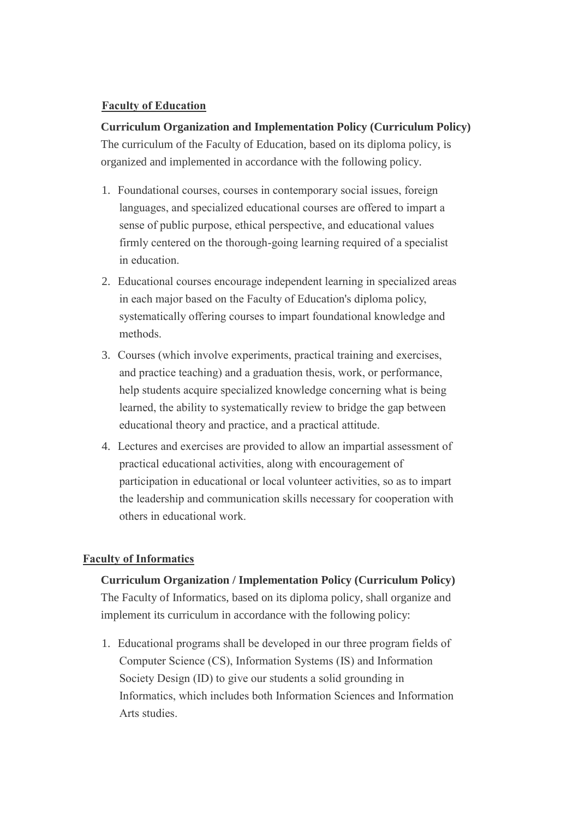# **Faculty of Education**

# **Curriculum Organization and Implementation Policy (Curriculum Policy)**

The curriculum of the Faculty of Education, based on its diploma policy, is organized and implemented in accordance with the following policy.

- 1. Foundational courses, courses in contemporary social issues, foreign languages, and specialized educational courses are offered to impart a sense of public purpose, ethical perspective, and educational values firmly centered on the thorough-going learning required of a specialist in education.
- 2. Educational courses encourage independent learning in specialized areas in each major based on the Faculty of Education's diploma policy, systematically offering courses to impart foundational knowledge and methods.
- 3. Courses (which involve experiments, practical training and exercises, and practice teaching) and a graduation thesis, work, or performance, help students acquire specialized knowledge concerning what is being learned, the ability to systematically review to bridge the gap between educational theory and practice, and a practical attitude.
- 4. Lectures and exercises are provided to allow an impartial assessment of practical educational activities, along with encouragement of participation in educational or local volunteer activities, so as to impart the leadership and communication skills necessary for cooperation with others in educational work.

# **Faculty of Informatics**

# **Curriculum Organization / Implementation Policy (Curriculum Policy)** The Faculty of Informatics, based on its diploma policy, shall organize and implement its curriculum in accordance with the following policy:

1. Educational programs shall be developed in our three program fields of Computer Science (CS), Information Systems (IS) and Information Society Design (ID) to give our students a solid grounding in Informatics, which includes both Information Sciences and Information Arts studies.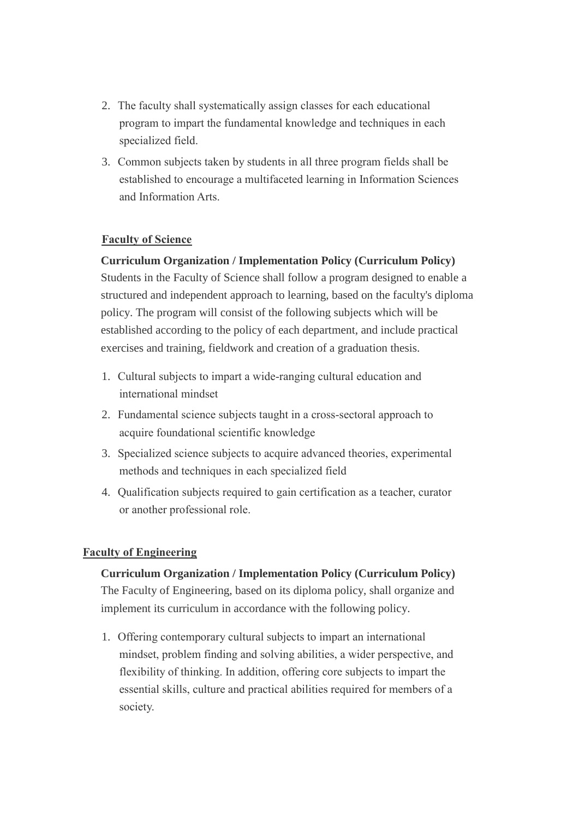- 2. The faculty shall systematically assign classes for each educational program to impart the fundamental knowledge and techniques in each specialized field.
- 3. Common subjects taken by students in all three program fields shall be established to encourage a multifaceted learning in Information Sciences and Information Arts.

# **Faculty of Science**

# **Curriculum Organization / Implementation Policy (Curriculum Policy)**

Students in the Faculty of Science shall follow a program designed to enable a structured and independent approach to learning, based on the faculty's diploma policy. The program will consist of the following subjects which will be established according to the policy of each department, and include practical exercises and training, fieldwork and creation of a graduation thesis.

- 1. Cultural subjects to impart a wide-ranging cultural education and international mindset
- 2. Fundamental science subjects taught in a cross-sectoral approach to acquire foundational scientific knowledge
- 3. Specialized science subjects to acquire advanced theories, experimental methods and techniques in each specialized field
- 4. Qualification subjects required to gain certification as a teacher, curator or another professional role.

# **Faculty of Engineering**

# **Curriculum Organization / Implementation Policy (Curriculum Policy)**

The Faculty of Engineering, based on its diploma policy, shall organize and implement its curriculum in accordance with the following policy.

1. Offering contemporary cultural subjects to impart an international mindset, problem finding and solving abilities, a wider perspective, and flexibility of thinking. In addition, offering core subjects to impart the essential skills, culture and practical abilities required for members of a society.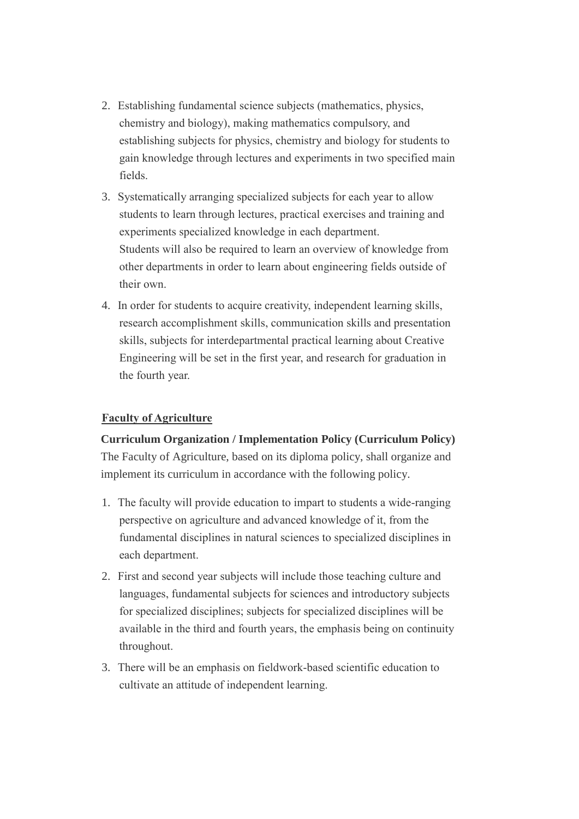- 2. Establishing fundamental science subjects (mathematics, physics, chemistry and biology), making mathematics compulsory, and establishing subjects for physics, chemistry and biology for students to gain knowledge through lectures and experiments in two specified main fields.
- 3. Systematically arranging specialized subjects for each year to allow students to learn through lectures, practical exercises and training and experiments specialized knowledge in each department. Students will also be required to learn an overview of knowledge from other departments in order to learn about engineering fields outside of their own.
- 4. In order for students to acquire creativity, independent learning skills, research accomplishment skills, communication skills and presentation skills, subjects for interdepartmental practical learning about Creative Engineering will be set in the first year, and research for graduation in the fourth year.

# **Faculty of Agriculture**

### **Curriculum Organization / Implementation Policy (Curriculum Policy)**

The Faculty of Agriculture, based on its diploma policy, shall organize and implement its curriculum in accordance with the following policy.

- 1. The faculty will provide education to impart to students a wide-ranging perspective on agriculture and advanced knowledge of it, from the fundamental disciplines in natural sciences to specialized disciplines in each department.
- 2. First and second year subjects will include those teaching culture and languages, fundamental subjects for sciences and introductory subjects for specialized disciplines; subjects for specialized disciplines will be available in the third and fourth years, the emphasis being on continuity throughout.
- 3. There will be an emphasis on fieldwork-based scientific education to cultivate an attitude of independent learning.